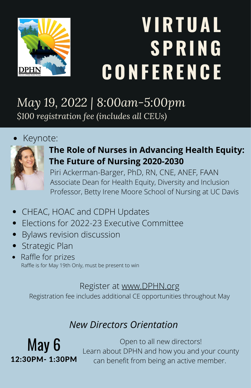

# **V IRTUA L SPRING CONF ERENCE**

*May 19, 2022 | 8:00am-5:00pm \$100 registration fee (includes all CEUs)*

#### Keynote:



### **The Role of Nurses in Advancing Health Equity: The Future of Nursing 2020-2030**

Piri Ackerman-Barger, PhD, RN, CNE, ANEF, FAAN Associate Dean for Health Equity, Diversity and Inclusion Professor, Betty Irene Moore School of Nursing at UC Davis

- CHEAC, HOAC and CDPH Updates
- Elections for 2022-23 Executive Committee  $\bullet$
- Bylaws revision discussion  $\bullet$
- Strategic Plan
- Raffle for prizes Raffle is for May 19th Only, must be present to win

#### Register at [www.DPHN.org](http://directorsofpublichealthnursing.wildapricot.org/event-4730826)

Registration fee includes additional CE opportunities throughout May

## *New Directors Orientation*

May 6 12:30PM- 1:30PM

Open to all new directors! Learn about DPHN and how you and your county can benefit from being an active member.